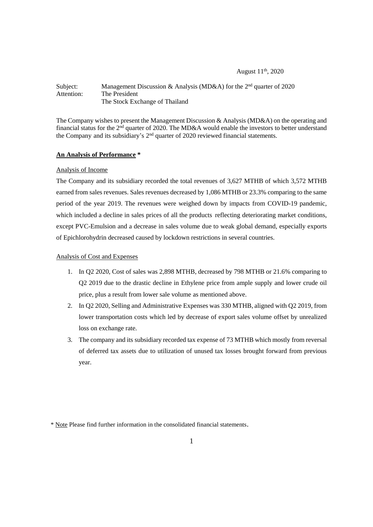### August 11<sup>th</sup>, 2020

### Subject: Management Discussion & Analysis (MD&A) for the 2<sup>nd</sup> quarter of 2020 Attention: The President The Stock Exchange of Thailand

The Company wishes to present the Management Discussion & Analysis (MD&A) on the operating and financial status for the  $2<sup>nd</sup>$  quarter of 2020. The MD&A would enable the investors to better understand the Company and its subsidiary's  $2<sup>nd</sup>$  quarter of 2020 reviewed financial statements.

## **An Analysis of Performance \***

### Analysis of Income

The Company and its subsidiary recorded the total revenues of 3,627 MTHB of which 3,572 MTHB earned from sales revenues. Sales revenues decreased by 1,086 MTHB or 23.3% comparing to the same period of the year 2019. The revenues were weighed down by impacts from COVID-19 pandemic, which included a decline in sales prices of all the products reflecting deteriorating market conditions, except PVC-Emulsion and a decrease in sales volume due to weak global demand, especially exports of Epichlorohydrin decreased caused by lockdown restrictions in several countries.

## Analysis of Cost and Expenses

- 1. In Q2 2020, Cost of sales was 2,898 MTHB, decreased by 798 MTHB or 21.6% comparing to Q2 2019 due to the drastic decline in Ethylene price from ample supply and lower crude oil price, plus a result from lower sale volume as mentioned above.
- 2. In Q2 2020, Selling and Administrative Expenses was 330 MTHB, aligned with Q2 2019, from lower transportation costs which led by decrease of export sales volume offset by unrealized loss on exchange rate.
- 3. The company and its subsidiary recorded tax expense of 73 MTHB which mostly from reversal of deferred tax assets due to utilization of unused tax losses brought forward from previous year.

<sup>\*</sup> Note Please find further information in the consolidated financial statements.